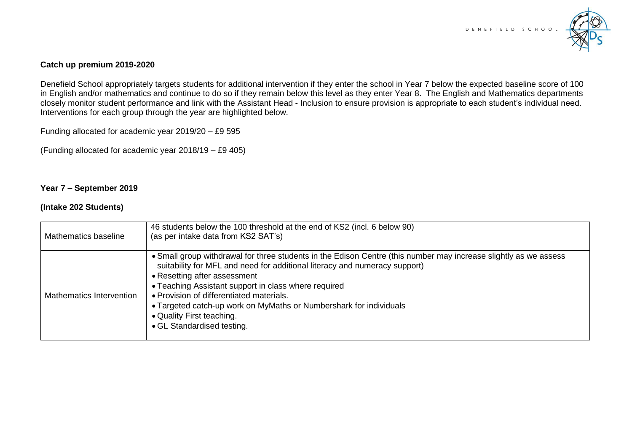

### **Catch up premium 2019-2020**

Denefield School appropriately targets students for additional intervention if they enter the school in Year 7 below the expected baseline score of 100 in English and/or mathematics and continue to do so if they remain below this level as they enter Year 8. The English and Mathematics departments closely monitor student performance and link with the Assistant Head - Inclusion to ensure provision is appropriate to each student's individual need. Interventions for each group through the year are highlighted below.

Funding allocated for academic year 2019/20 – £9 595

(Funding allocated for academic year 2018/19 – £9 405)

### **Year 7 – September 2019**

### **(Intake 202 Students)**

| Mathematics baseline     | 46 students below the 100 threshold at the end of KS2 (incl. 6 below 90)<br>(as per intake data from KS2 SAT's)                                                                                                                                                                                                                                                                                                                                                     |
|--------------------------|---------------------------------------------------------------------------------------------------------------------------------------------------------------------------------------------------------------------------------------------------------------------------------------------------------------------------------------------------------------------------------------------------------------------------------------------------------------------|
| Mathematics Intervention | • Small group withdrawal for three students in the Edison Centre (this number may increase slightly as we assess<br>suitability for MFL and need for additional literacy and numeracy support)<br>• Resetting after assessment<br>• Teaching Assistant support in class where required<br>• Provision of differentiated materials.<br>• Targeted catch-up work on MyMaths or Numbershark for individuals<br>• Quality First teaching.<br>• GL Standardised testing. |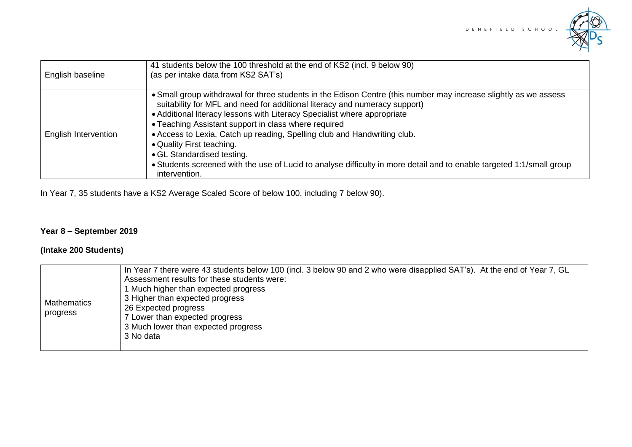

| English baseline     | 41 students below the 100 threshold at the end of KS2 (incl. 9 below 90)<br>(as per intake data from KS2 SAT's)                                                                                                                                                                                                                                                                                                                                                                                                                                                                                                     |
|----------------------|---------------------------------------------------------------------------------------------------------------------------------------------------------------------------------------------------------------------------------------------------------------------------------------------------------------------------------------------------------------------------------------------------------------------------------------------------------------------------------------------------------------------------------------------------------------------------------------------------------------------|
| English Intervention | • Small group withdrawal for three students in the Edison Centre (this number may increase slightly as we assess<br>suitability for MFL and need for additional literacy and numeracy support)<br>• Additional literacy lessons with Literacy Specialist where appropriate<br>• Teaching Assistant support in class where required<br>• Access to Lexia, Catch up reading, Spelling club and Handwriting club.<br>• Quality First teaching.<br>• GL Standardised testing.<br>• Students screened with the use of Lucid to analyse difficulty in more detail and to enable targeted 1:1/small group<br>intervention. |

In Year 7, 35 students have a KS2 Average Scaled Score of below 100, including 7 below 90).

# **Year 8 – September 2019**

## **(Intake 200 Students)**

| Mathematics<br>∣ progress | In Year 7 there were 43 students below 100 (incl. 3 below 90 and 2 who were disapplied SAT's). At the end of Year 7, GL<br>Assessment results for these students were:<br>1 Much higher than expected progress<br>3 Higher than expected progress<br>26 Expected progress<br>7 Lower than expected progress<br>3 Much lower than expected progress<br>3 No data |
|---------------------------|-----------------------------------------------------------------------------------------------------------------------------------------------------------------------------------------------------------------------------------------------------------------------------------------------------------------------------------------------------------------|
|---------------------------|-----------------------------------------------------------------------------------------------------------------------------------------------------------------------------------------------------------------------------------------------------------------------------------------------------------------------------------------------------------------|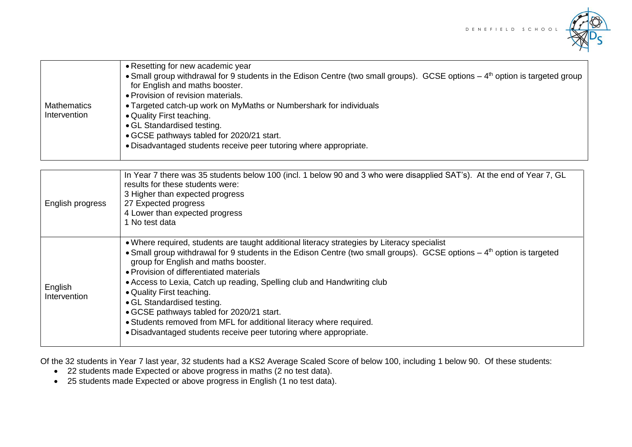

|              | • Resetting for new academic year                                                                                                        |
|--------------|------------------------------------------------------------------------------------------------------------------------------------------|
|              | • Small group withdrawal for 9 students in the Edison Centre (two small groups). GCSE options – 4 <sup>th</sup> option is targeted group |
|              | for English and maths booster.                                                                                                           |
|              | • Provision of revision materials.                                                                                                       |
| Mathematics  | • Targeted catch-up work on MyMaths or Numbershark for individuals                                                                       |
| Intervention | • Quality First teaching.                                                                                                                |
|              | • GL Standardised testing.                                                                                                               |
|              | • GCSE pathways tabled for 2020/21 start.                                                                                                |
|              | • Disadvantaged students receive peer tutoring where appropriate.                                                                        |
|              |                                                                                                                                          |

| English progress        | In Year 7 there was 35 students below 100 (incl. 1 below 90 and 3 who were disapplied SAT's). At the end of Year 7, GL<br>results for these students were:<br>3 Higher than expected progress<br>27 Expected progress<br>4 Lower than expected progress<br>No test data                                                                                                                                                                                                                                                                                                                                                                             |
|-------------------------|-----------------------------------------------------------------------------------------------------------------------------------------------------------------------------------------------------------------------------------------------------------------------------------------------------------------------------------------------------------------------------------------------------------------------------------------------------------------------------------------------------------------------------------------------------------------------------------------------------------------------------------------------------|
| English<br>Intervention | • Where required, students are taught additional literacy strategies by Literacy specialist<br>• Small group withdrawal for 9 students in the Edison Centre (two small groups). GCSE options – 4 <sup>th</sup> option is targeted<br>group for English and maths booster.<br>• Provision of differentiated materials<br>• Access to Lexia, Catch up reading, Spelling club and Handwriting club<br>• Quality First teaching.<br>• GL Standardised testing.<br>• GCSE pathways tabled for 2020/21 start.<br>• Students removed from MFL for additional literacy where required.<br>. Disadvantaged students receive peer tutoring where appropriate. |

Of the 32 students in Year 7 last year, 32 students had a KS2 Average Scaled Score of below 100, including 1 below 90. Of these students:

- 22 students made Expected or above progress in maths (2 no test data).
- 25 students made Expected or above progress in English (1 no test data).